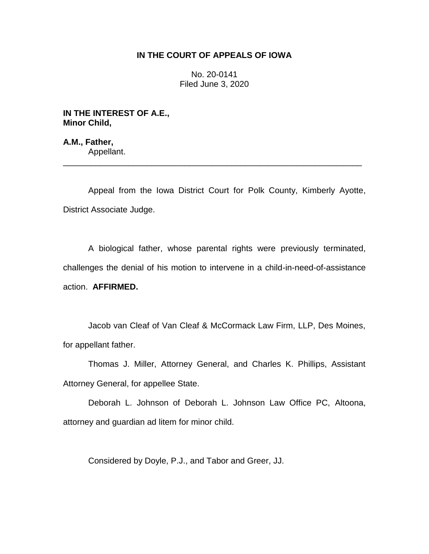## **IN THE COURT OF APPEALS OF IOWA**

No. 20-0141 Filed June 3, 2020

**IN THE INTEREST OF A.E., Minor Child,**

**A.M., Father,** Appellant.

Appeal from the Iowa District Court for Polk County, Kimberly Ayotte, District Associate Judge.

\_\_\_\_\_\_\_\_\_\_\_\_\_\_\_\_\_\_\_\_\_\_\_\_\_\_\_\_\_\_\_\_\_\_\_\_\_\_\_\_\_\_\_\_\_\_\_\_\_\_\_\_\_\_\_\_\_\_\_\_\_\_\_\_

A biological father, whose parental rights were previously terminated, challenges the denial of his motion to intervene in a child-in-need-of-assistance action. **AFFIRMED.**

Jacob van Cleaf of Van Cleaf & McCormack Law Firm, LLP, Des Moines, for appellant father.

Thomas J. Miller, Attorney General, and Charles K. Phillips, Assistant Attorney General, for appellee State.

Deborah L. Johnson of Deborah L. Johnson Law Office PC, Altoona, attorney and guardian ad litem for minor child.

Considered by Doyle, P.J., and Tabor and Greer, JJ.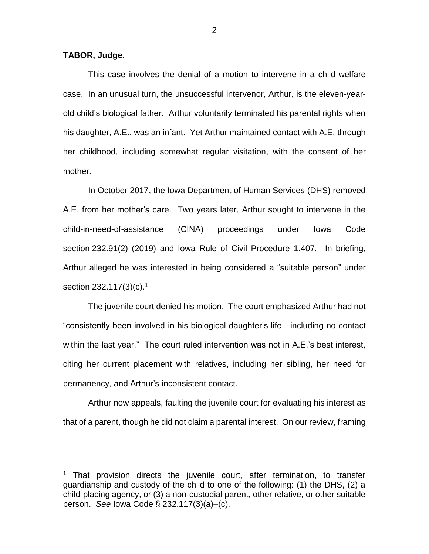## **TABOR, Judge.**

 $\overline{a}$ 

This case involves the denial of a motion to intervene in a child-welfare case. In an unusual turn, the unsuccessful intervenor, Arthur, is the eleven-yearold child's biological father. Arthur voluntarily terminated his parental rights when his daughter, A.E., was an infant. Yet Arthur maintained contact with A.E. through her childhood, including somewhat regular visitation, with the consent of her mother.

In October 2017, the Iowa Department of Human Services (DHS) removed A.E. from her mother's care. Two years later, Arthur sought to intervene in the child-in-need-of-assistance (CINA) proceedings under Iowa Code section 232.91(2) (2019) and Iowa Rule of Civil Procedure 1.407. In briefing, Arthur alleged he was interested in being considered a "suitable person" under section 232.117(3)(c).<sup>1</sup>

The juvenile court denied his motion. The court emphasized Arthur had not "consistently been involved in his biological daughter's life—including no contact within the last year." The court ruled intervention was not in A.E.'s best interest, citing her current placement with relatives, including her sibling, her need for permanency, and Arthur's inconsistent contact.

Arthur now appeals, faulting the juvenile court for evaluating his interest as that of a parent, though he did not claim a parental interest. On our review, framing

 $1$  That provision directs the juvenile court, after termination, to transfer guardianship and custody of the child to one of the following: (1) the DHS, (2) a child-placing agency, or (3) a non-custodial parent, other relative, or other suitable person. *See* Iowa Code § 232.117(3)(a)–(c).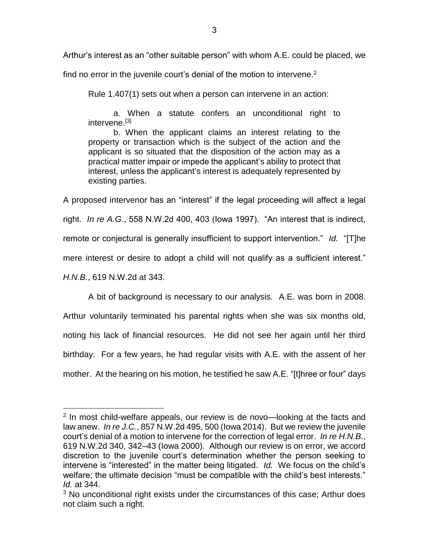Arthur's interest as an "other suitable person" with whom A.E. could be placed, we

find no error in the juvenile court's denial of the motion to intervene.<sup>2</sup>

Rule 1.407(1) sets out when a person can intervene in an action:

a. When a statute confers an unconditional right to intervene.<sup>[3]</sup>

b. When the applicant claims an interest relating to the property or transaction which is the subject of the action and the applicant is so situated that the disposition of the action may as a practical matter impair or impede the applicant's ability to protect that interest, unless the applicant's interest is adequately represented by existing parties.

A proposed intervenor has an "interest" if the legal proceeding will affect a legal right. *In re A.G.*, 558 N.W.2d 400, 403 (Iowa 1997). "An interest that is indirect, remote or conjectural is generally insufficient to support intervention." *Id.* "[T]he mere interest or desire to adopt a child will not qualify as a sufficient interest." *H.N.B.*, 619 N.W.2d at 343.

A bit of background is necessary to our analysis. A.E. was born in 2008. Arthur voluntarily terminated his parental rights when she was six months old, noting his lack of financial resources. He did not see her again until her third birthday. For a few years, he had regular visits with A.E. with the assent of her mother. At the hearing on his motion, he testified he saw A.E. "[t]hree or four" days

 $\overline{a}$ 

<sup>&</sup>lt;sup>2</sup> In most child-welfare appeals, our review is de novo-looking at the facts and law anew. *In re J.C.*, 857 N.W.2d 495, 500 (Iowa 2014). But we review the juvenile court's denial of a motion to intervene for the correction of legal error. *In re H.N.B.*, 619 N.W.2d 340, 342–43 (Iowa 2000). Although our review is on error, we accord discretion to the juvenile court's determination whether the person seeking to intervene is "interested" in the matter being litigated. *Id.* We focus on the child's welfare; the ultimate decision "must be compatible with the child's best interests." *Id.* at 344.

<sup>&</sup>lt;sup>3</sup> No unconditional right exists under the circumstances of this case; Arthur does not claim such a right.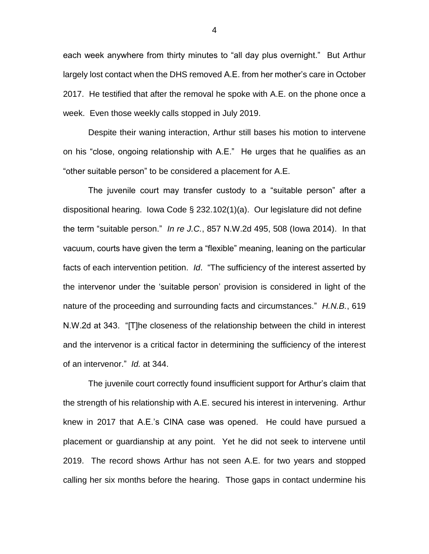each week anywhere from thirty minutes to "all day plus overnight." But Arthur largely lost contact when the DHS removed A.E. from her mother's care in October 2017. He testified that after the removal he spoke with A.E. on the phone once a week. Even those weekly calls stopped in July 2019.

Despite their waning interaction, Arthur still bases his motion to intervene on his "close, ongoing relationship with A.E." He urges that he qualifies as an "other suitable person" to be considered a placement for A.E.

The juvenile court may transfer custody to a "suitable person" after a dispositional hearing. Iowa Code § 232.102(1)(a). Our legislature did not define the term "suitable person." *In re J.C.*, 857 N.W.2d 495, 508 (Iowa 2014). In that vacuum, courts have given the term a "flexible" meaning, leaning on the particular facts of each intervention petition. *Id*. "The sufficiency of the interest asserted by the intervenor under the 'suitable person' provision is considered in light of the nature of the proceeding and surrounding facts and circumstances." *H.N.B.*, 619 N.W.2d at 343. "[T]he closeness of the relationship between the child in interest and the intervenor is a critical factor in determining the sufficiency of the interest of an intervenor." *Id.* at 344.

The juvenile court correctly found insufficient support for Arthur's claim that the strength of his relationship with A.E. secured his interest in intervening. Arthur knew in 2017 that A.E.'s CINA case was opened. He could have pursued a placement or guardianship at any point. Yet he did not seek to intervene until 2019. The record shows Arthur has not seen A.E. for two years and stopped calling her six months before the hearing. Those gaps in contact undermine his

4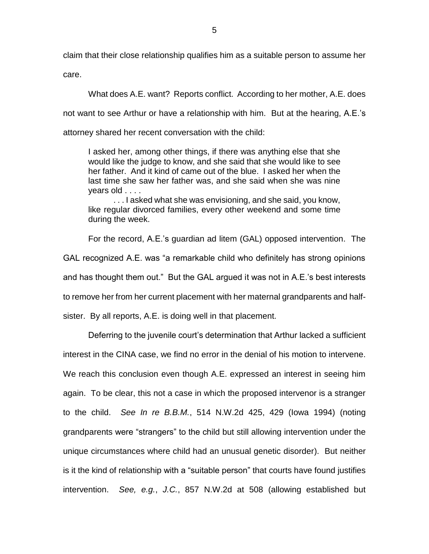claim that their close relationship qualifies him as a suitable person to assume her

care.

What does A.E. want? Reports conflict. According to her mother, A.E. does not want to see Arthur or have a relationship with him. But at the hearing, A.E.'s attorney shared her recent conversation with the child:

I asked her, among other things, if there was anything else that she would like the judge to know, and she said that she would like to see her father. And it kind of came out of the blue. I asked her when the last time she saw her father was, and she said when she was nine years old . . . .

. . . I asked what she was envisioning, and she said, you know, like regular divorced families, every other weekend and some time during the week.

For the record, A.E.'s guardian ad litem (GAL) opposed intervention. The GAL recognized A.E. was "a remarkable child who definitely has strong opinions and has thought them out." But the GAL argued it was not in A.E.'s best interests to remove her from her current placement with her maternal grandparents and halfsister. By all reports, A.E. is doing well in that placement.

Deferring to the juvenile court's determination that Arthur lacked a sufficient interest in the CINA case, we find no error in the denial of his motion to intervene. We reach this conclusion even though A.E. expressed an interest in seeing him again. To be clear, this not a case in which the proposed intervenor is a stranger to the child. *See In re B.B.M.*, 514 N.W.2d 425, 429 (Iowa 1994) (noting grandparents were "strangers" to the child but still allowing intervention under the unique circumstances where child had an unusual genetic disorder). But neither is it the kind of relationship with a "suitable person" that courts have found justifies intervention. *See, e.g.*, *J.C.*, 857 N.W.2d at 508 (allowing established but